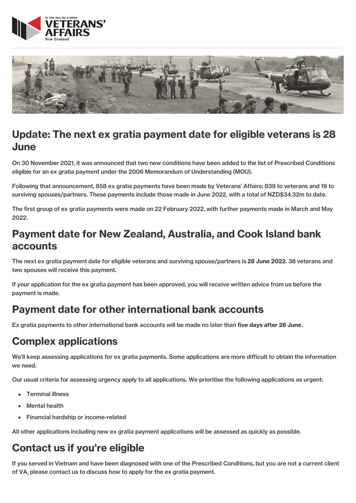



## Update: The next ex gratia payment date for eligible veterans is 28 June

On 30 November 2021, it was announced that two new conditions have been added to the list of Prescribed Conditions eligible for an ex gratia payment under the 2006 Memorandum of Understanding (MOU).

Following that announcement, 858 ex gratia payments have been made by Veterans' Affairs; 839 to veterans and 19 to surviving spouses/partners. These payments include those made in June 2022, with a total of NZD\$34.32m to date.

The first group of ex gratia payments were made on 22 February 2022, with further payments made in March and May 2022.

#### Payment date for New Zealand, Australia, and Cook Island bank accounts

The next ex gratia payment date for eligible veterans and surviving spouse/partners is 28 June 2022. 38 veterans and two spouses will receive this payment.

If your application for the ex gratia payment has been approved, you will receive written advice from us before the payment is made.

#### Payment date for other international bank accounts

Ex gratia payments to other international bank accounts will be made no later than five days after 28 June.

## Complex applications

We'll keep assessing applications for ex gratia payments. Some applications are more difficult to obtain the information we need.

Our usual criteria for assessing urgency apply to all applications. We prioritise the following applications as urgent:

- Terminal illness
- Mental health
- Financial hardship or income-related

All other applications including new ex gratia payment applications will be assessed as quickly as possible.

## Contact us if you're eligible

If you served in Vietnam and have been diagnosed with one of the Prescribed Conditions, but you are not a current client of VA, please contact us to discuss how to apply for the ex gratia payment.